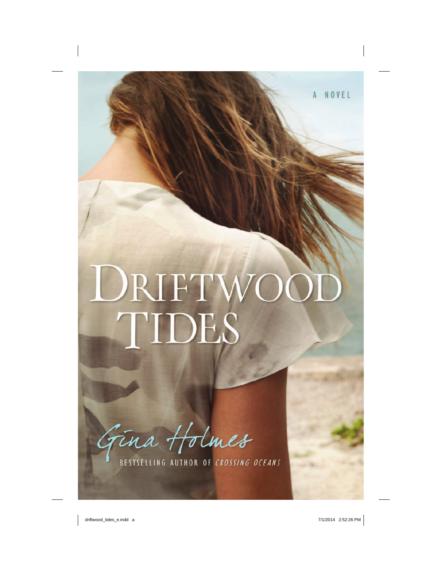# DRIFTWOOD<br>TIDES

Gina Holmes

BESTSELLING AUTHOR OF CROSSING OCEANS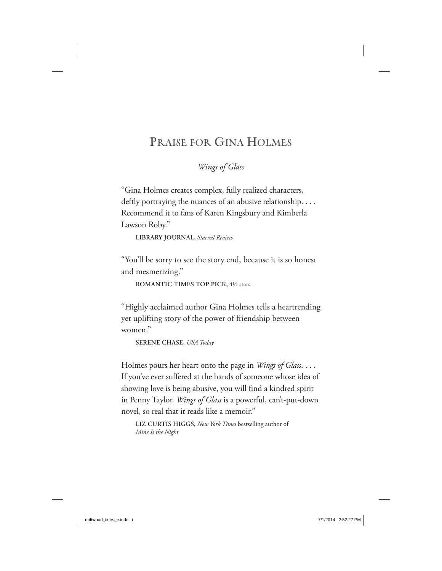# **PRAISE FOR GINA HOLMES**

*Wings of Glass*

"Gina Holmes creates complex, fully realized characters, deftly portraying the nuances of an abusive relationship. . . . Recommend it to fans of Karen Kingsbury and Kimberla Lawson Roby."

**LIBRARY JOURNAL,** *Starred Review*

"You'll be sorry to see the story end, because it is so honest and mesmerizing."

**ROMANTIC TIMES TOP PICK,** 4½ stars

"Highly acclaimed author Gina Holmes tells a heartrending yet uplifting story of the power of friendship between women."

**SERENE CHASE,** *USA Today*

Holmes pours her heart onto the page in *Wings of Glass*. . . . If you've ever suffered at the hands of someone whose idea of showing love is being abusive, you will find a kindred spirit in Penny Taylor. *Wings of Glass* is a powerful, can't-put-down novel, so real that it reads like a memoir."

**LIZ CURTIS HIGGS,** *New York Times* bestselling author of *Mine Is the Night*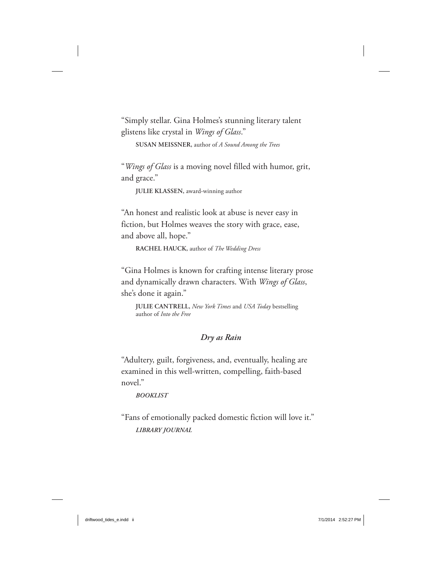"Simply stellar. Gina Holmes's stunning literary talent glistens like crystal in *Wings of Glass*."

**SUSAN MEISSNER,** author of *A Sound Among the Trees*

"*Wings of Glass* is a moving novel filled with humor, grit, and grace."

**JULIE KLASSEN,** award-winning author

"An honest and realistic look at abuse is never easy in fiction, but Holmes weaves the story with grace, ease, and above all, hope."

**RACHEL HAUCK,** author of *The Wedding Dress*

"Gina Holmes is known for crafting intense literary prose and dynamically drawn characters. With *Wings of Glass*, she's done it again."

**JULIE CANTRELL,** *New York Times* and *USA Today* bestselling author of *Into the Free*

### *Dry as Rain*

"Adultery, guilt, forgiveness, and, eventually, healing are examined in this well-written, compelling, faith-based novel."

### *BOOKLIST*

"Fans of emotionally packed domestic fiction will love it." *LIBRARY JOURNAL*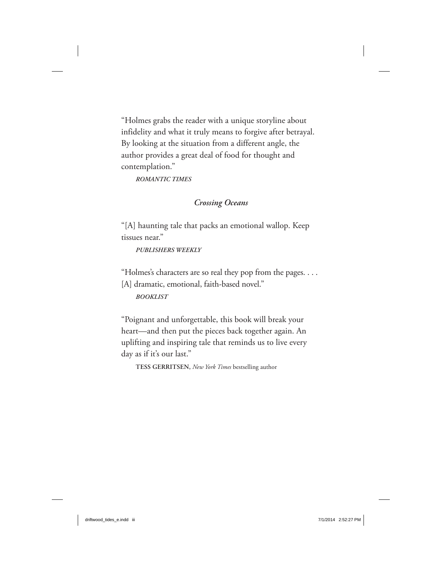"Holmes grabs the reader with a unique storyline about infidelity and what it truly means to forgive after betrayal. By looking at the situation from a different angle, the author provides a great deal of food for thought and contemplation."

*ROMANTIC TIMES*

### *Crossing Oceans*

"[A] haunting tale that packs an emotional wallop. Keep tissues near."

*PUBLISHERS WEEKLY*

"Holmes's characters are so real they pop from the pages. . . . [A] dramatic, emotional, faith-based novel."

*BOOKLIST*

"Poignant and unforgettable, this book will break your heart—and then put the pieces back together again. An uplifting and inspiring tale that reminds us to live every day as if it's our last."

**TESS GERRITSEN,** *New York Times* bestselling author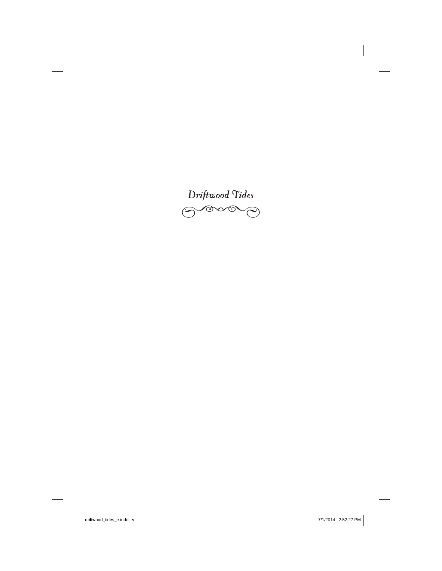

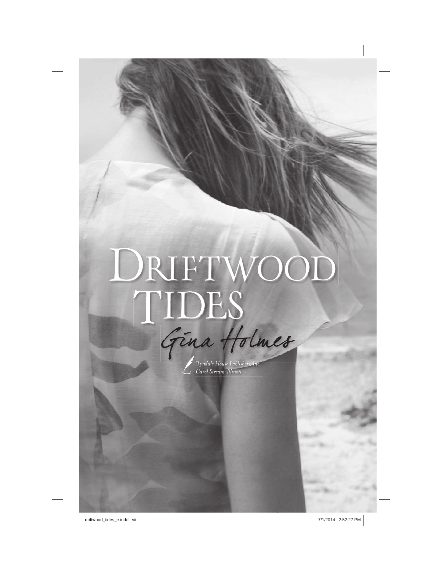# DRIFTWOOD TIDES

*Tyndale House Publishers, Inc., Carol Stream, Illinois* Tyndale House Publishers, *I*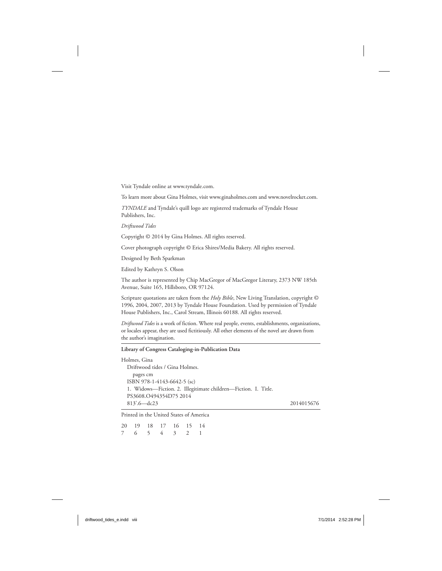Visit Tyndale online at www.tyndale.com.

To learn more about Gina Holmes, visit www.ginaholmes.com and www.novelrocket.com.

*TYNDALE* and Tyndale's quill logo are registered trademarks of Tyndale House Publishers, Inc.

*Driftwood Tides*

Copyright © 2014 by Gina Holmes. All rights reserved.

Cover photograph copyright © Erica Shires/Media Bakery. All rights reserved.

Designed by Beth Sparkman

Edited by Kathryn S. Olson

The author is represented by Chip MacGregor of MacGregor Literary, 2373 NW 185th Avenue, Suite 165, Hillsboro, OR 97124.

Scripture quotations are taken from the *Holy Bible*, New Living Translation, copyright © 1996, 2004, 2007, 2013 by Tyndale House Foundation. Used by permission of Tyndale House Publishers, Inc., Carol Stream, Illinois 60188. All rights reserved.

*Driftwood Tides* is a work of fiction. Where real people, events, establishments, organizations, or locales appear, they are used fictitiously. All other elements of the novel are drawn from the author's imagination.

### **Library of Congress Cataloging-in-Publication Data**

| Holmes, Gina                                                   |            |
|----------------------------------------------------------------|------------|
| Driftwood tides / Gina Holmes.                                 |            |
| pages cm                                                       |            |
| ISBN 978-1-4143-6642-5 (sc)                                    |            |
| 1. Widows-Fiction. 2. Illegitimate children-Fiction. I. Title. |            |
| PS3608.Q494354D752014                                          |            |
| $813'.6 - dc23$                                                | 2014015676 |

Printed in the United States of America

|  |  | 20 19 18 17 16 15 14 |  |
|--|--|----------------------|--|
|  |  | 7 6 5 4 3 2 1        |  |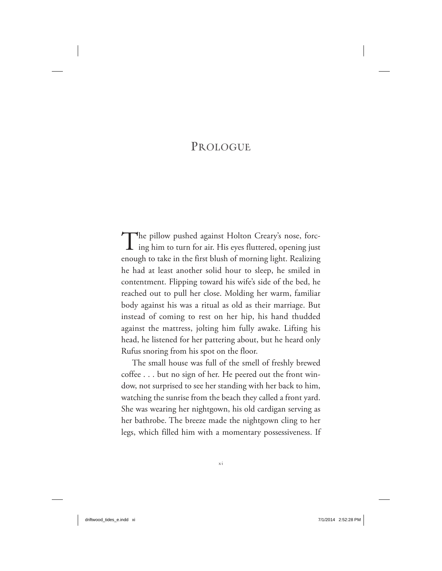# **PROLOGUE**

The pillow pushed against Holton Creary's nose, forc-<br>ing him to turn for air. His eyes fluttered, opening just enough to take in the first blush of morning light. Realizing he had at least another solid hour to sleep, he smiled in contentment. Flipping toward his wife's side of the bed, he reached out to pull her close. Molding her warm, familiar body against his was a ritual as old as their marriage. But instead of coming to rest on her hip, his hand thudded against the mattress, jolting him fully awake. Lifting his head, he listened for her pattering about, but he heard only Rufus snoring from his spot on the floor.

The small house was full of the smell of freshly brewed coffee . . . but no sign of her. He peered out the front window, not surprised to see her standing with her back to him, watching the sunrise from the beach they called a front yard. She was wearing her nightgown, his old cardigan serving as her bathrobe. The breeze made the nightgown cling to her legs, which filled him with a momentary possessiveness. If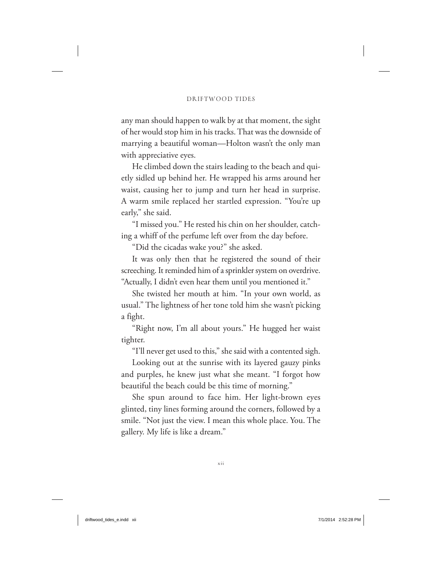any man should happen to walk by at that moment, the sight of her would stop him in his tracks. That was the downside of marrying a beautiful woman—Holton wasn't the only man with appreciative eyes.

He climbed down the stairs leading to the beach and quietly sidled up behind her. He wrapped his arms around her waist, causing her to jump and turn her head in surprise. A warm smile replaced her startled expression. "You're up early," she said.

"I missed you." He rested his chin on her shoulder, catching a whiff of the perfume left over from the day before.

"Did the cicadas wake you?" she asked.

It was only then that he registered the sound of their screeching. It reminded him of a sprinkler system on overdrive. "Actually, I didn't even hear them until you mentioned it."

She twisted her mouth at him. "In your own world, as usual." The lightness of her tone told him she wasn't picking a fight.

"Right now, I'm all about yours." He hugged her waist tighter.

"I'll never get used to this," she said with a contented sigh.

Looking out at the sunrise with its layered gauzy pinks and purples, he knew just what she meant. "I forgot how beautiful the beach could be this time of morning."

She spun around to face him. Her light-brown eyes glinted, tiny lines forming around the corners, followed by a smile. "Not just the view. I mean this whole place. You. The gallery. My life is like a dream."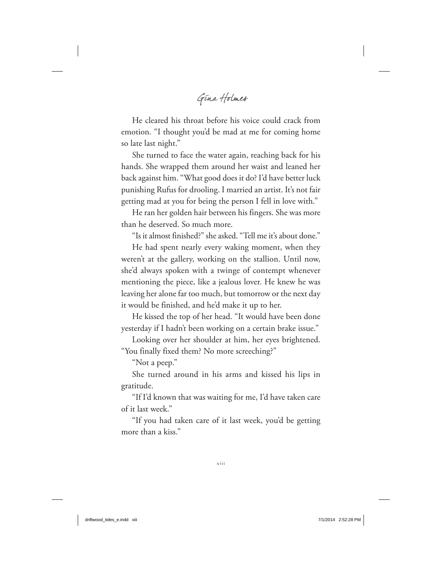GINA HOLMES

He cleared his throat before his voice could crack from emotion. "I thought you'd be mad at me for coming home so late last night."

She turned to face the water again, reaching back for his hands. She wrapped them around her waist and leaned her back against him. "What good does it do? I'd have better luck punishing Rufus for drooling. I married an artist. It's not fair getting mad at you for being the person I fell in love with."

He ran her golden hair between his fingers. She was more than he deserved. So much more.

"Is it almost finished?" she asked. "Tell me it's about done."

He had spent nearly every waking moment, when they weren't at the gallery, working on the stallion. Until now, she'd always spoken with a twinge of contempt whenever mentioning the piece, like a jealous lover. He knew he was leaving her alone far too much, but tomorrow or the next day it would be finished, and he'd make it up to her.

He kissed the top of her head. "It would have been done yesterday if I hadn't been working on a certain brake issue."

Looking over her shoulder at him, her eyes brightened. "You finally fixed them? No more screeching?"

"Not a peep."

She turned around in his arms and kissed his lips in gratitude.

"If I'd known that was waiting for me, I'd have taken care of it last week."

"If you had taken care of it last week, you'd be getting more than a kiss."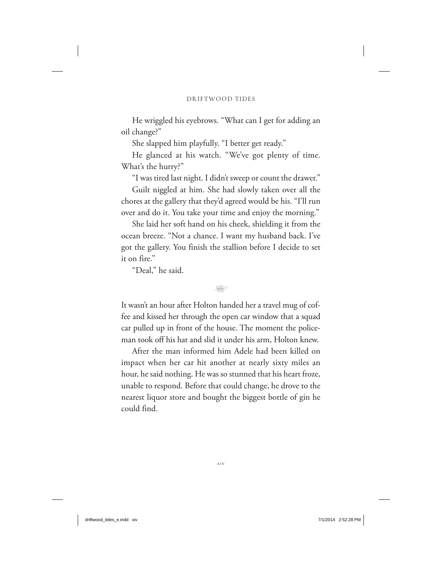He wriggled his eyebrows. "What can I get for adding an oil change?"

She slapped him playfully. "I better get ready."

He glanced at his watch. "We've got plenty of time. What's the hurry?"

"I was tired last night. I didn't sweep or count the drawer."

Guilt niggled at him. She had slowly taken over all the chores at the gallery that they'd agreed would be his. "I'll run over and do it. You take your time and enjoy the morning."

She laid her soft hand on his cheek, shielding it from the ocean breeze. "Not a chance. I want my husband back. I've got the gallery. You finish the stallion before I decide to set it on fire."

"Deal," he said.



It wasn't an hour after Holton handed her a travel mug of coffee and kissed her through the open car window that a squad car pulled up in front of the house. The moment the policeman took off his hat and slid it under his arm, Holton knew.

After the man informed him Adele had been killed on impact when her car hit another at nearly sixty miles an hour, he said nothing. He was so stunned that his heart froze, unable to respond. Before that could change, he drove to the nearest liquor store and bought the biggest bottle of gin he could find.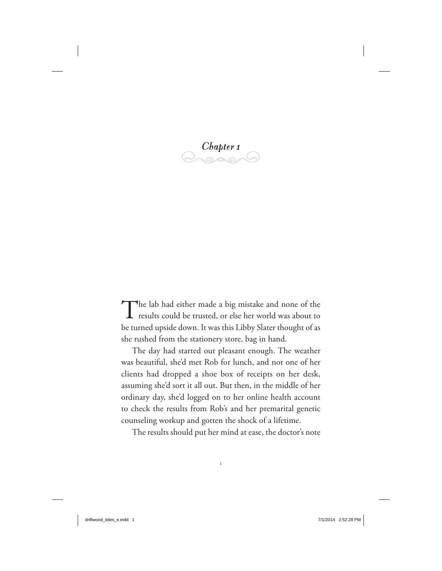*Chapter 1*

The lab had either made a big mistake and none of the results could be trusted, or else her world was about to be turned upside down. It was this Libby Slater thought of as she rushed from the stationery store, bag in hand.

The day had started out pleasant enough. The weather was beautiful, she'd met Rob for lunch, and not one of her clients had dropped a shoe box of receipts on her desk, assuming she'd sort it all out. But then, in the middle of her ordinary day, she'd logged on to her online health account to check the results from Rob's and her premarital genetic counseling workup and gotten the shock of a lifetime.

The results should put her mind at ease, the doctor's note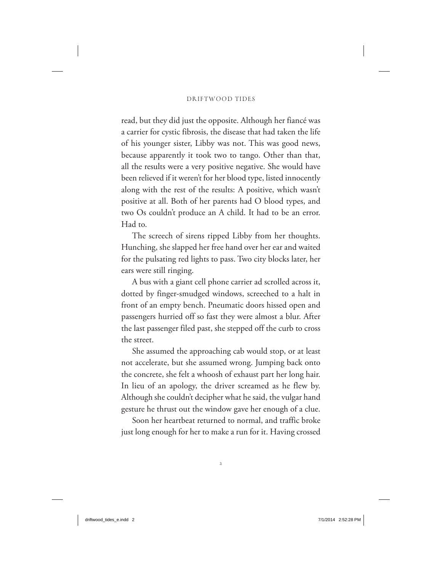read, but they did just the opposite. Although her fiancé was a carrier for cystic fibrosis, the disease that had taken the life of his younger sister, Libby was not. This was good news, because apparently it took two to tango. Other than that, all the results were a very positive negative. She would have been relieved if it weren't for her blood type, listed innocently along with the rest of the results: A positive, which wasn't positive at all. Both of her parents had O blood types, and two Os couldn't produce an A child. It had to be an error. Had to.

The screech of sirens ripped Libby from her thoughts. Hunching, she slapped her free hand over her ear and waited for the pulsating red lights to pass. Two city blocks later, her ears were still ringing.

A bus with a giant cell phone carrier ad scrolled across it, dotted by finger-smudged windows, screeched to a halt in front of an empty bench. Pneumatic doors hissed open and passengers hurried off so fast they were almost a blur. After the last passenger filed past, she stepped off the curb to cross the street.

She assumed the approaching cab would stop, or at least not accelerate, but she assumed wrong. Jumping back onto the concrete, she felt a whoosh of exhaust part her long hair. In lieu of an apology, the driver screamed as he flew by. Although she couldn't decipher what he said, the vulgar hand gesture he thrust out the window gave her enough of a clue.

Soon her heartbeat returned to normal, and traffic broke just long enough for her to make a run for it. Having crossed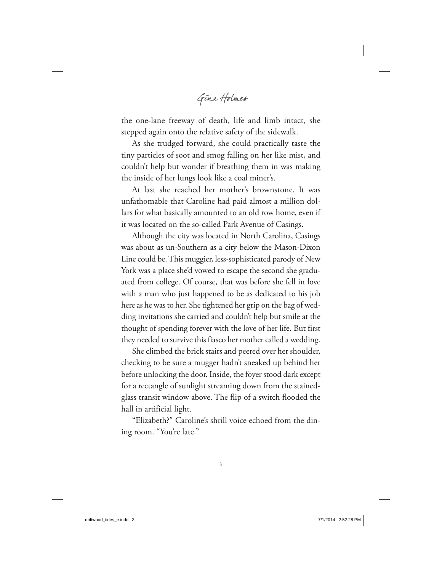GINA HOLMES

the one-lane freeway of death, life and limb intact, she stepped again onto the relative safety of the sidewalk.

As she trudged forward, she could practically taste the tiny particles of soot and smog falling on her like mist, and couldn't help but wonder if breathing them in was making the inside of her lungs look like a coal miner's.

At last she reached her mother's brownstone. It was unfathomable that Caroline had paid almost a million dollars for what basically amounted to an old row home, even if it was located on the so-called Park Avenue of Casings.

Although the city was located in North Carolina, Casings was about as un-Southern as a city below the Mason-Dixon Line could be. This muggier, less-sophisticated parody of New York was a place she'd vowed to escape the second she graduated from college. Of course, that was before she fell in love with a man who just happened to be as dedicated to his job here as he was to her. She tightened her grip on the bag of wedding invitations she carried and couldn't help but smile at the thought of spending forever with the love of her life. But first they needed to survive this fiasco her mother called a wedding.

She climbed the brick stairs and peered over her shoulder, checking to be sure a mugger hadn't sneaked up behind her before unlocking the door. Inside, the foyer stood dark except for a rectangle of sunlight streaming down from the stainedglass transit window above. The flip of a switch flooded the hall in artificial light.

"Elizabeth?" Caroline's shrill voice echoed from the dining room. "You're late."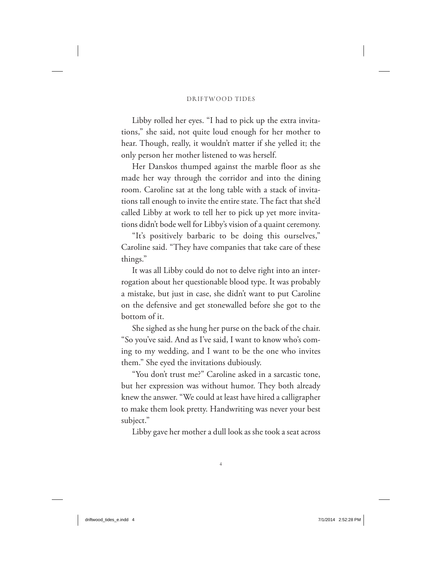Libby rolled her eyes. "I had to pick up the extra invitations," she said, not quite loud enough for her mother to hear. Though, really, it wouldn't matter if she yelled it; the only person her mother listened to was herself.

Her Danskos thumped against the marble floor as she made her way through the corridor and into the dining room. Caroline sat at the long table with a stack of invitations tall enough to invite the entire state. The fact that she'd called Libby at work to tell her to pick up yet more invitations didn't bode well for Libby's vision of a quaint ceremony.

"It's positively barbaric to be doing this ourselves," Caroline said. "They have companies that take care of these things."

It was all Libby could do not to delve right into an interrogation about her questionable blood type. It was probably a mistake, but just in case, she didn't want to put Caroline on the defensive and get stonewalled before she got to the bottom of it.

She sighed as she hung her purse on the back of the chair. "So you've said. And as I've said, I want to know who's coming to my wedding, and I want to be the one who invites them." She eyed the invitations dubiously.

"You don't trust me?" Caroline asked in a sarcastic tone, but her expression was without humor. They both already knew the answer. "We could at least have hired a calligrapher to make them look pretty. Handwriting was never your best subject."

Libby gave her mother a dull look as she took a seat across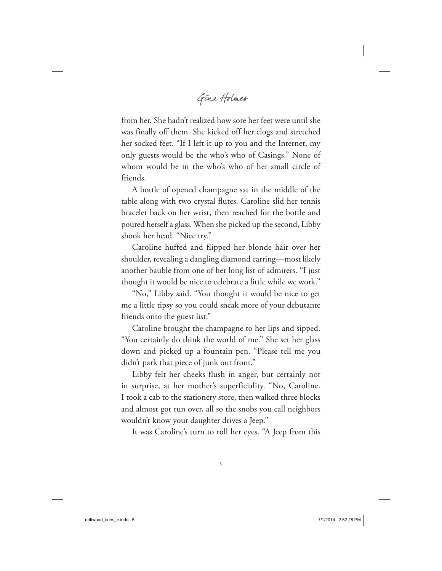GINA HOLMES

from her. She hadn't realized how sore her feet were until she was finally off them. She kicked off her clogs and stretched her socked feet. "If I left it up to you and the Internet, my only guests would be the who's who of Casings." None of whom would be in the who's who of her small circle of friends.

A bottle of opened champagne sat in the middle of the table along with two crystal flutes. Caroline slid her tennis bracelet back on her wrist, then reached for the bottle and poured herself a glass. When she picked up the second, Libby shook her head. "Nice try."

Caroline huffed and flipped her blonde hair over her shoulder, revealing a dangling diamond earring—most likely another bauble from one of her long list of admirers. "I just thought it would be nice to celebrate a little while we work."

"No," Libby said. "You thought it would be nice to get me a little tipsy so you could sneak more of your debutante friends onto the guest list."

Caroline brought the champagne to her lips and sipped. "You certainly do think the world of me." She set her glass down and picked up a fountain pen. "Please tell me you didn't park that piece of junk out front."

Libby felt her cheeks flush in anger, but certainly not in surprise, at her mother's superficiality. "No, Caroline. I took a cab to the stationery store, then walked three blocks and almost got run over, all so the snobs you call neighbors wouldn't know your daughter drives a Jeep."

It was Caroline's turn to roll her eyes. "A Jeep from this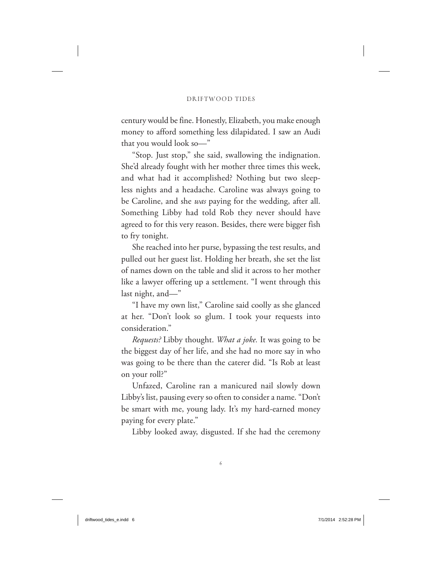century would be fine. Honestly, Elizabeth, you make enough money to afford something less dilapidated. I saw an Audi that you would look so—"

"Stop. Just stop," she said, swallowing the indignation. She'd already fought with her mother three times this week, and what had it accomplished? Nothing but two sleepless nights and a headache. Caroline was always going to be Caroline, and she *was* paying for the wedding, after all. Something Libby had told Rob they never should have agreed to for this very reason. Besides, there were bigger fish to fry tonight.

She reached into her purse, bypassing the test results, and pulled out her guest list. Holding her breath, she set the list of names down on the table and slid it across to her mother like a lawyer offering up a settlement. "I went through this last night, and—"

"I have my own list," Caroline said coolly as she glanced at her. "Don't look so glum. I took your requests into consideration."

*Requests?* Libby thought. *What a joke.* It was going to be the biggest day of her life, and she had no more say in who was going to be there than the caterer did. "Is Rob at least on your roll?"

Unfazed, Caroline ran a manicured nail slowly down Libby's list, pausing every so often to consider a name. "Don't be smart with me, young lady. It's my hard-earned money paying for every plate."

Libby looked away, disgusted. If she had the ceremony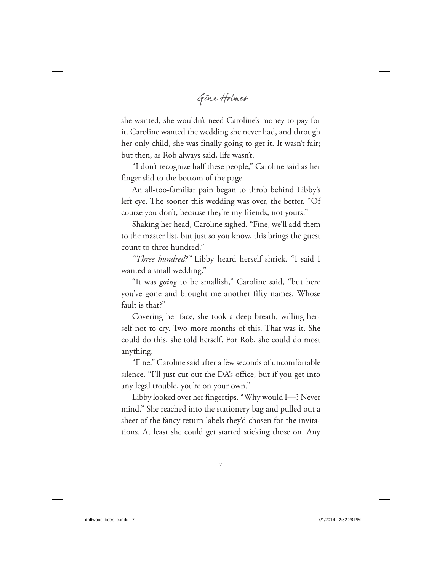GINA HOLMES

she wanted, she wouldn't need Caroline's money to pay for it. Caroline wanted the wedding she never had, and through her only child, she was finally going to get it. It wasn't fair; but then, as Rob always said, life wasn't.

"I don't recognize half these people," Caroline said as her finger slid to the bottom of the page.

An all-too-familiar pain began to throb behind Libby's left eye. The sooner this wedding was over, the better. "Of course you don't, because they're my friends, not yours."

Shaking her head, Caroline sighed. "Fine, we'll add them to the master list, but just so you know, this brings the guest count to three hundred."

*"Three hundred?"* Libby heard herself shriek. "I said I wanted a small wedding."

"It was *going* to be smallish," Caroline said, "but here you've gone and brought me another fifty names. Whose fault is that?"

Covering her face, she took a deep breath, willing herself not to cry. Two more months of this. That was it. She could do this, she told herself. For Rob, she could do most anything.

"Fine," Caroline said after a few seconds of uncomfortable silence. "I'll just cut out the DA's office, but if you get into any legal trouble, you're on your own."

Libby looked over her fingertips. "Why would I—? Never mind." She reached into the stationery bag and pulled out a sheet of the fancy return labels they'd chosen for the invitations. At least she could get started sticking those on. Any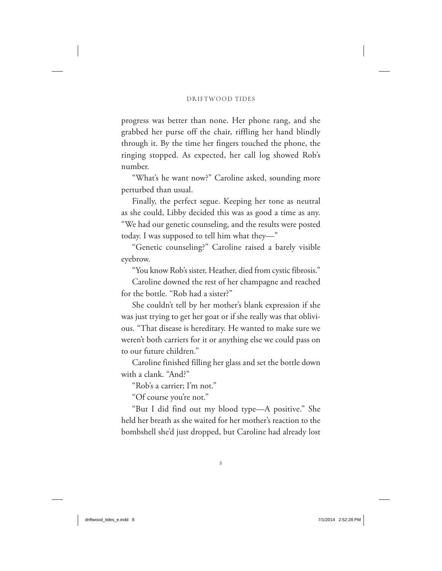progress was better than none. Her phone rang, and she grabbed her purse off the chair, riffling her hand blindly through it. By the time her fingers touched the phone, the ringing stopped. As expected, her call log showed Rob's number.

"What's he want now?" Caroline asked, sounding more perturbed than usual.

Finally, the perfect segue. Keeping her tone as neutral as she could, Libby decided this was as good a time as any. "We had our genetic counseling, and the results were posted today. I was supposed to tell him what they—"

"Genetic counseling?" Caroline raised a barely visible eyebrow.

"You know Rob's sister, Heather, died from cystic fibrosis."

Caroline downed the rest of her champagne and reached for the bottle. "Rob had a sister?"

She couldn't tell by her mother's blank expression if she was just trying to get her goat or if she really was that oblivious. "That disease is hereditary. He wanted to make sure we weren't both carriers for it or anything else we could pass on to our future children."

Caroline finished filling her glass and set the bottle down with a clank. "And?"

"Rob's a carrier; I'm not."

"Of course you're not."

"But I did find out my blood type—A positive." She held her breath as she waited for her mother's reaction to the bombshell she'd just dropped, but Caroline had already lost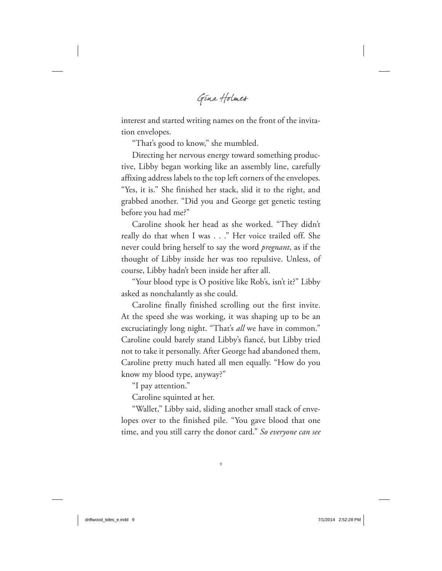GINA HOLMES

interest and started writing names on the front of the invitation envelopes.

"That's good to know," she mumbled.

Directing her nervous energy toward something productive, Libby began working like an assembly line, carefully affixing address labels to the top left corners of the envelopes. "Yes, it is." She finished her stack, slid it to the right, and grabbed another. "Did you and George get genetic testing before you had me?"

Caroline shook her head as she worked. "They didn't really do that when I was . . ." Her voice trailed off. She never could bring herself to say the word *pregnant*, as if the thought of Libby inside her was too repulsive. Unless, of course, Libby hadn't been inside her after all.

"Your blood type is O positive like Rob's, isn't it?" Libby asked as nonchalantly as she could.

Caroline finally finished scrolling out the first invite. At the speed she was working, it was shaping up to be an excruciatingly long night. "That's *all* we have in common." Caroline could barely stand Libby's fiancé, but Libby tried not to take it personally. After George had abandoned them, Caroline pretty much hated all men equally. "How do you know my blood type, anyway?"

"I pay attention."

Caroline squinted at her.

"Wallet," Libby said, sliding another small stack of envelopes over to the finished pile. "You gave blood that one time, and you still carry the donor card." *So everyone can see*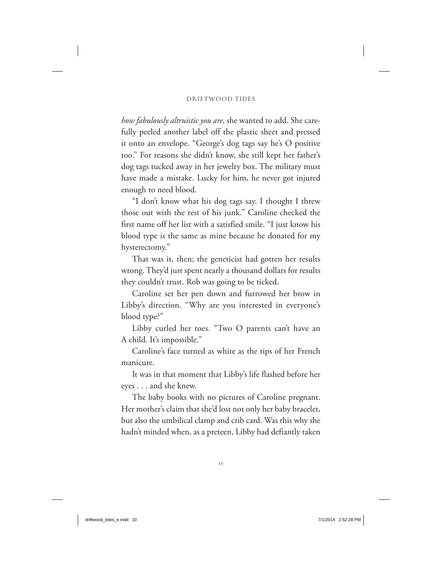*how fabulously altruistic you are,* she wanted to add. She carefully peeled another label off the plastic sheet and pressed it onto an envelope. "George's dog tags say he's O positive too." For reasons she didn't know, she still kept her father's dog tags tucked away in her jewelry box. The military must have made a mistake. Lucky for him, he never got injured enough to need blood.

"I don't know what his dog tags say. I thought I threw those out with the rest of his junk." Caroline checked the first name off her list with a satisfied smile. "I just know his blood type is the same as mine because he donated for my hysterectomy."

That was it, then; the geneticist had gotten her results wrong. They'd just spent nearly a thousand dollars for results they couldn't trust. Rob was going to be ticked.

Caroline set her pen down and furrowed her brow in Libby's direction. "Why are you interested in everyone's blood type?"

Libby curled her toes. "Two O parents can't have an A child. It's impossible."

Caroline's face turned as white as the tips of her French manicure.

It was in that moment that Libby's life flashed before her eyes . . . and she knew.

The baby books with no pictures of Caroline pregnant. Her mother's claim that she'd lost not only her baby bracelet, but also the umbilical clamp and crib card. Was this why she hadn't minded when, as a preteen, Libby had defiantly taken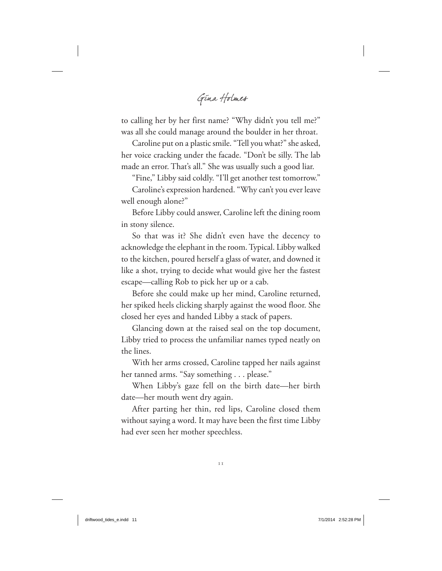GINA HOLMES

to calling her by her first name? "Why didn't you tell me?" was all she could manage around the boulder in her throat.

Caroline put on a plastic smile. "Tell you what?" she asked, her voice cracking under the facade. "Don't be silly. The lab made an error. That's all." She was usually such a good liar.

"Fine," Libby said coldly. "I'll get another test tomorrow."

Caroline's expression hardened. "Why can't you ever leave well enough alone?"

Before Libby could answer, Caroline left the dining room in stony silence.

So that was it? She didn't even have the decency to acknowledge the elephant in the room. Typical. Libby walked to the kitchen, poured herself a glass of water, and downed it like a shot, trying to decide what would give her the fastest escape—calling Rob to pick her up or a cab.

Before she could make up her mind, Caroline returned, her spiked heels clicking sharply against the wood floor. She closed her eyes and handed Libby a stack of papers.

Glancing down at the raised seal on the top document, Libby tried to process the unfamiliar names typed neatly on the lines.

With her arms crossed, Caroline tapped her nails against her tanned arms. "Say something . . . please."

When Libby's gaze fell on the birth date—her birth date—her mouth went dry again.

After parting her thin, red lips, Caroline closed them without saying a word. It may have been the first time Libby had ever seen her mother speechless.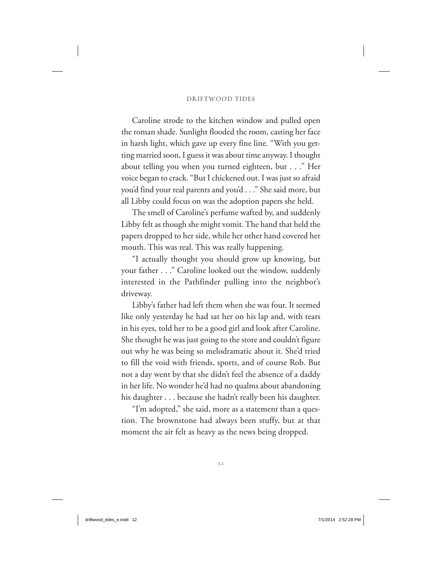Caroline strode to the kitchen window and pulled open the roman shade. Sunlight flooded the room, casting her face in harsh light, which gave up every fine line. "With you getting married soon, I guess it was about time anyway. I thought about telling you when you turned eighteen, but . . ." Her voice began to crack. "But I chickened out. I was just so afraid you'd find your real parents and you'd . . ." She said more, but all Libby could focus on was the adoption papers she held.

The smell of Caroline's perfume wafted by, and suddenly Libby felt as though she might vomit. The hand that held the papers dropped to her side, while her other hand covered her mouth. This was real. This was really happening.

"I actually thought you should grow up knowing, but your father . . ." Caroline looked out the window, suddenly interested in the Pathfinder pulling into the neighbor's driveway.

Libby's father had left them when she was four. It seemed like only yesterday he had sat her on his lap and, with tears in his eyes, told her to be a good girl and look after Caroline. She thought he was just going to the store and couldn't figure out why he was being so melodramatic about it. She'd tried to fill the void with friends, sports, and of course Rob. But not a day went by that she didn't feel the absence of a daddy in her life. No wonder he'd had no qualms about abandoning his daughter . . . because she hadn't really been his daughter.

"I'm adopted," she said, more as a statement than a question. The brownstone had always been stuffy, but at that moment the air felt as heavy as the news being dropped.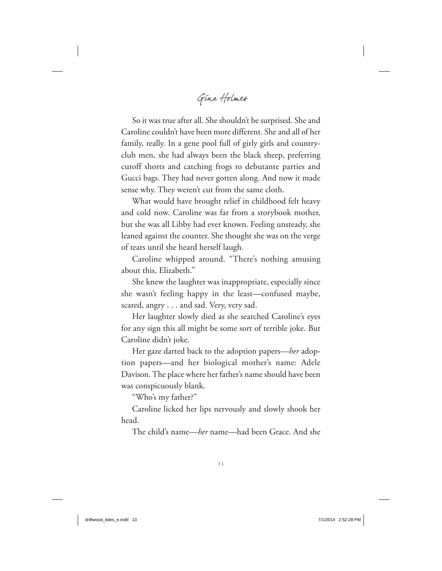GINA HOLMES

So it was true after all. She shouldn't be surprised. She and Caroline couldn't have been more different. She and all of her family, really. In a gene pool full of girly girls and countryclub men, she had always been the black sheep, preferring cutoff shorts and catching frogs to debutante parties and Gucci bags. They had never gotten along. And now it made sense why. They weren't cut from the same cloth.

What would have brought relief in childhood felt heavy and cold now. Caroline was far from a storybook mother, but she was all Libby had ever known. Feeling unsteady, she leaned against the counter. She thought she was on the verge of tears until she heard herself laugh.

Caroline whipped around. "There's nothing amusing about this, Elizabeth."

She knew the laughter was inappropriate, especially since she wasn't feeling happy in the least—confused maybe, scared, angry . . . and sad. Very, very sad.

Her laughter slowly died as she searched Caroline's eyes for any sign this all might be some sort of terrible joke. But Caroline didn't joke.

Her gaze darted back to the adoption papers—*her* adoption papers—and her biological mother's name: Adele Davison. The place where her father's name should have been was conspicuously blank.

"Who's my father?"

Caroline licked her lips nervously and slowly shook her head.

The child's name—*her* name—had been Grace. And she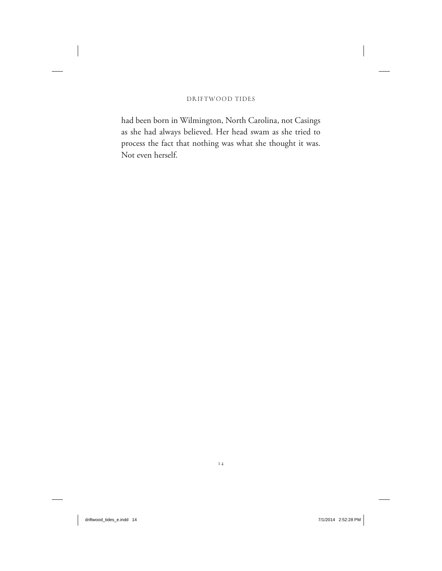had been born in Wilmington, North Carolina, not Casings as she had always believed. Her head swam as she tried to process the fact that nothing was what she thought it was. Not even herself.